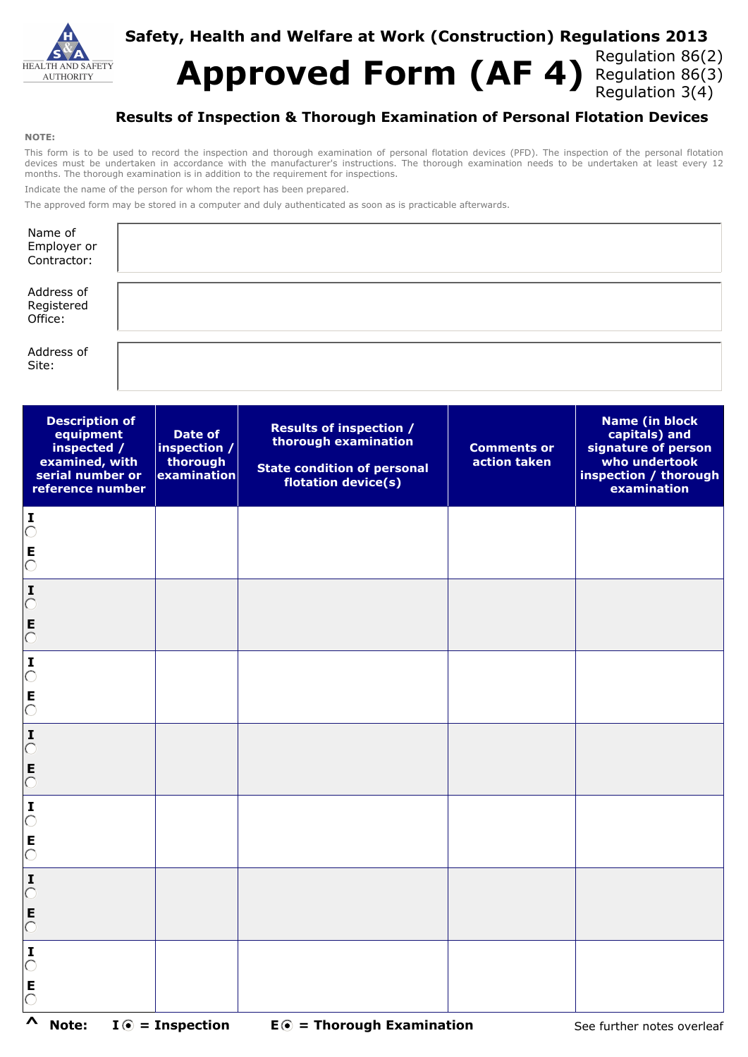

## **Safety, Health and Welfare at Work (Construction) Regulations 2013**

Approved Form (AF 4) Regulation 86(2) Regulation 3(4)

## **Results of Inspection & Thorough Examination of Personal Flotation Devices**

#### **NOTE:**

This form is to be used to record the inspection and thorough examination of personal flotation devices (PFD). The inspection of the personal flotation devices must be undertaken in accordance with the manufacturer's instructions. The thorough examination needs to be undertaken at least every 12 months. The thorough examination is in addition to the requirement for inspections.

Indicate the name of the person for whom the report has been prepared.

The approved form may be stored in a computer and duly authenticated as soon as is practicable afterwards.

| Name of<br>Employer or<br>Contractor: |  |
|---------------------------------------|--|
| Address of<br>Registered<br>Office:   |  |
| Address of<br>Site:                   |  |

| <b>Description of</b><br>equipment<br>inspected /<br>examined, with<br>serial number or<br>reference number | Date of<br>inspection /<br>thorough<br>examination | <b>Results of inspection /</b><br>thorough examination<br><b>State condition of personal</b><br>flotation device(s) | <b>Comments or</b><br>action taken | <b>Name (in block)</b><br>capitals) and<br>signature of person<br>who undertook<br>inspection / thorough<br>examination |
|-------------------------------------------------------------------------------------------------------------|----------------------------------------------------|---------------------------------------------------------------------------------------------------------------------|------------------------------------|-------------------------------------------------------------------------------------------------------------------------|
| $\sum_{i=1}^{n}$<br>$\bar{c}$                                                                               |                                                    |                                                                                                                     |                                    |                                                                                                                         |
| $\mathbf I$<br>$\bigcirc$                                                                                   |                                                    |                                                                                                                     |                                    |                                                                                                                         |
| $\overline{0}$<br>$\sum_{i=1}^{n}$                                                                          |                                                    |                                                                                                                     |                                    |                                                                                                                         |
| $\overline{\circ}$                                                                                          |                                                    |                                                                                                                     |                                    |                                                                                                                         |
| $\mathbf I$<br>$\overline{O}$<br>E<br>$\overline{O}$                                                        |                                                    |                                                                                                                     |                                    |                                                                                                                         |
| $\mathbf I$<br>$\bigcirc$<br>E                                                                              |                                                    |                                                                                                                     |                                    |                                                                                                                         |
| $\bigcirc$<br>$\sum_{i=1}^{n}$                                                                              |                                                    |                                                                                                                     |                                    |                                                                                                                         |
| E<br>$\overline{O}$<br>$\mathbf I$                                                                          |                                                    |                                                                                                                     |                                    |                                                                                                                         |
| $\bigcirc$<br>E<br>$\overline{C}$                                                                           |                                                    |                                                                                                                     |                                    |                                                                                                                         |